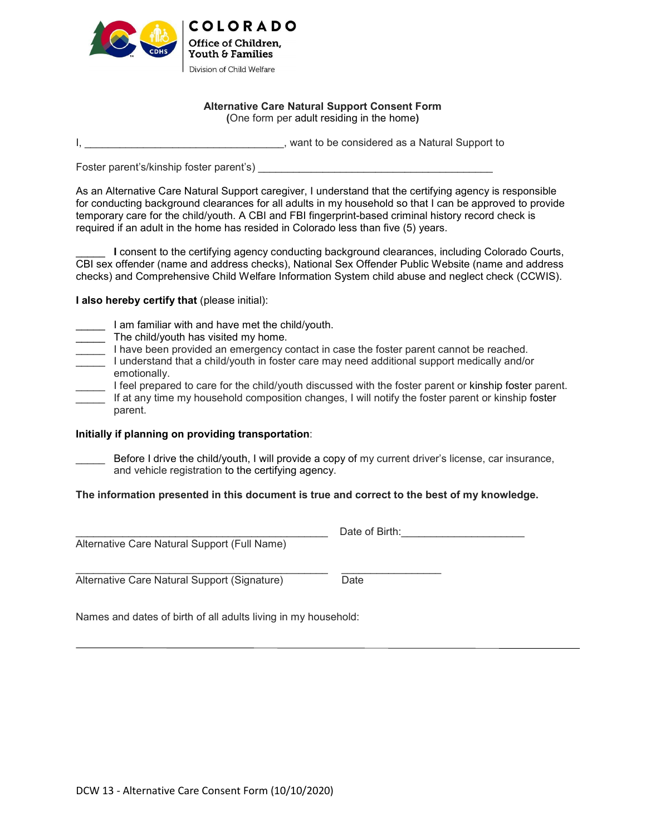

## **Alternative Care Natural Support Consent Form (**One form per adult residing in the home**)**

I, All the considered as a Natural Support to be considered as a Natural Support to

Foster parent's/kinship foster parent's) \_\_\_\_\_\_\_\_\_\_\_\_\_\_\_\_\_\_\_\_\_\_\_\_\_\_\_\_\_\_\_\_\_\_\_\_\_\_\_\_

As an Alternative Care Natural Support caregiver, I understand that the certifying agency is responsible for conducting background clearances for all adults in my household so that I can be approved to provide temporary care for the child/youth. A CBI and FBI fingerprint-based criminal history record check is required if an adult in the home has resided in Colorado less than five (5) years.

I consent to the certifying agency conducting background clearances, including Colorado Courts, CBI sex offender (name and address checks), National Sex Offender Public Website (name and address checks) and Comprehensive Child Welfare Information System child abuse and neglect check (CCWIS).

**I also hereby certify that** (please initial):

- \_\_\_\_\_ I am familiar with and have met the child/youth.
- \_\_\_\_\_ The child/youth has visited my home.
- I have been provided an emergency contact in case the foster parent cannot be reached.
	- \_\_\_\_\_ I understand that a child/youth in foster care may need additional support medically and/or emotionally.
- \_\_\_\_\_ I feel prepared to care for the child/youth discussed with the foster parent or kinship foster parent. If at any time my household composition changes, I will notify the foster parent or kinship foster parent.

## **Initially if planning on providing transportation**:

Before I drive the child/youth, I will provide a copy of my current driver's license, car insurance, and vehicle registration to the certifying agency.

## **The information presented in this document is true and correct to the best of my knowledge.**

|                                              | Date of Birth: |
|----------------------------------------------|----------------|
| Alternative Care Natural Support (Full Name) |                |
|                                              |                |
| Alternative Care Natural Support (Signature) | Date           |

Names and dates of birth of all adults living in my household: